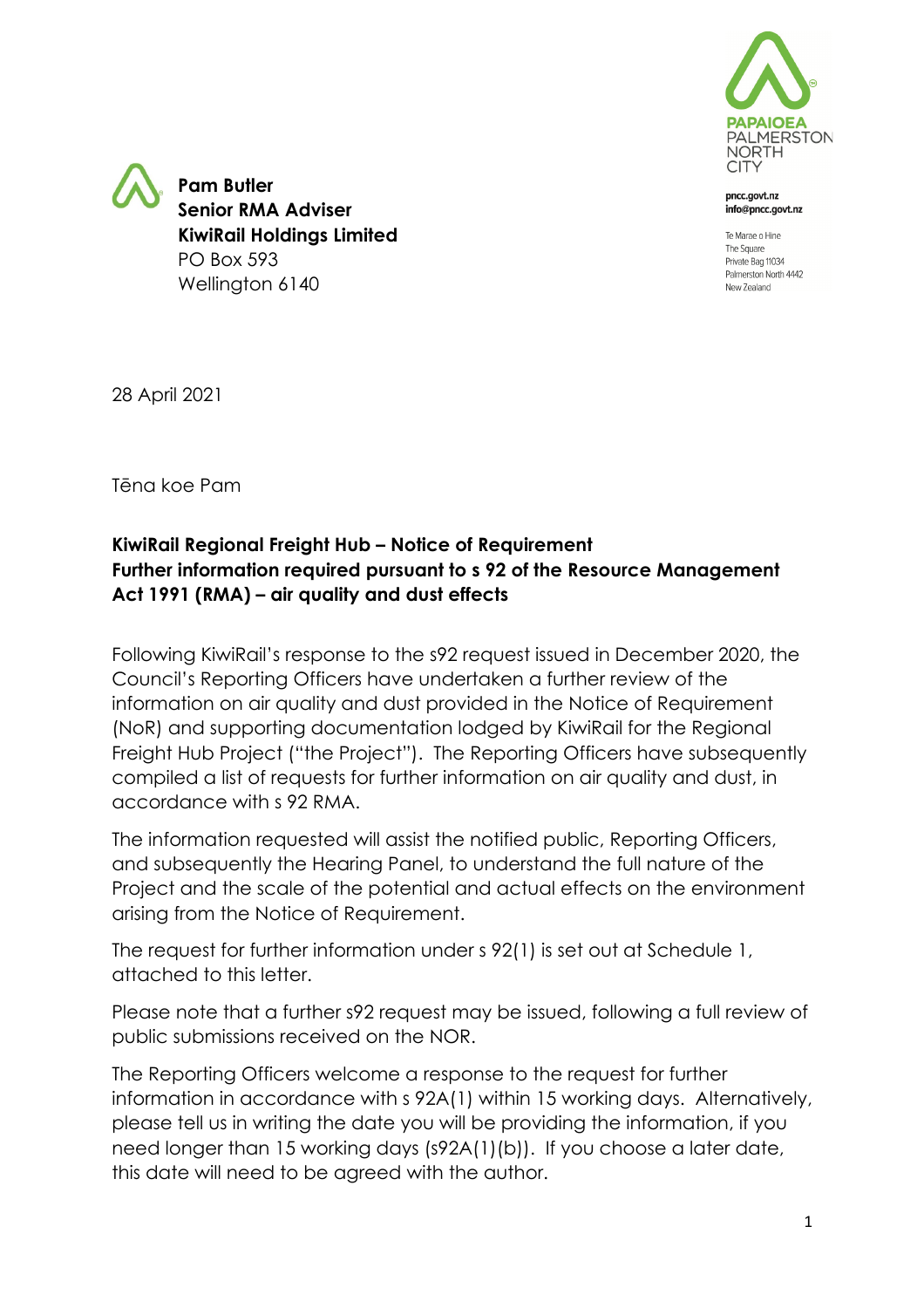

pncc.govt.nz info@pncc.govt.nz

Te Marae o Hine The Square Private Bag 11034 Palmerston North 4442 New Zealand

**Pam Butler Senior RMA Adviser KiwiRail Holdings Limited** PO Box 593 Wellington 6140

28 April 2021

Tēna koe Pam

## **KiwiRail Regional Freight Hub – Notice of Requirement Further information required pursuant to s 92 of the Resource Management Act 1991 (RMA) – air quality and dust effects**

Following KiwiRail's response to the s92 request issued in December 2020, the Council's Reporting Officers have undertaken a further review of the information on air quality and dust provided in the Notice of Requirement (NoR) and supporting documentation lodged by KiwiRail for the Regional Freight Hub Project ("the Project"). The Reporting Officers have subsequently compiled a list of requests for further information on air quality and dust, in accordance with s 92 RMA.

The information requested will assist the notified public, Reporting Officers, and subsequently the Hearing Panel, to understand the full nature of the Project and the scale of the potential and actual effects on the environment arising from the Notice of Requirement.

The request for further information under s 92(1) is set out at Schedule 1, attached to this letter.

Please note that a further s92 request may be issued, following a full review of public submissions received on the NOR.

The Reporting Officers welcome a response to the request for further information in accordance with s 92A(1) within 15 working days. Alternatively, please tell us in writing the date you will be providing the information, if you need longer than 15 working days (s92A(1)(b)). If you choose a later date, this date will need to be agreed with the author.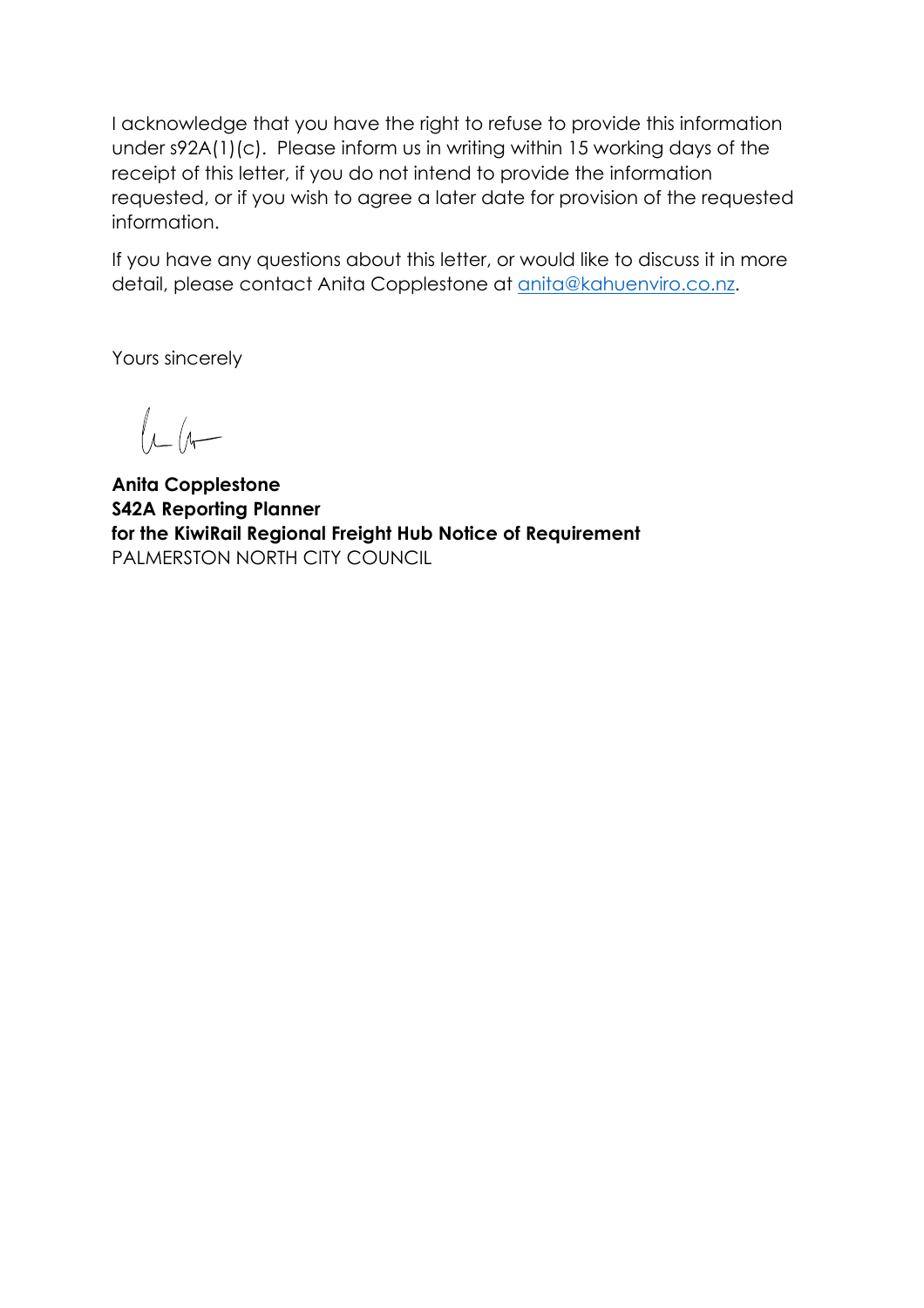I acknowledge that you have the right to refuse to provide this information under s92A(1)(c). Please inform us in writing within 15 working days of the receipt of this letter, if you do not intend to provide the information requested, or if you wish to agree a later date for provision of the requested information.

If you have any questions about this letter, or would like to discuss it in more detail, please contact Anita Copplestone at anita@kahuenviro.co.nz.

Yours sincerely

 $\mu$ 

**Anita Copplestone S42A Reporting Planner for the KiwiRail Regional Freight Hub Notice of Requirement** PALMERSTON NORTH CITY COUNCIL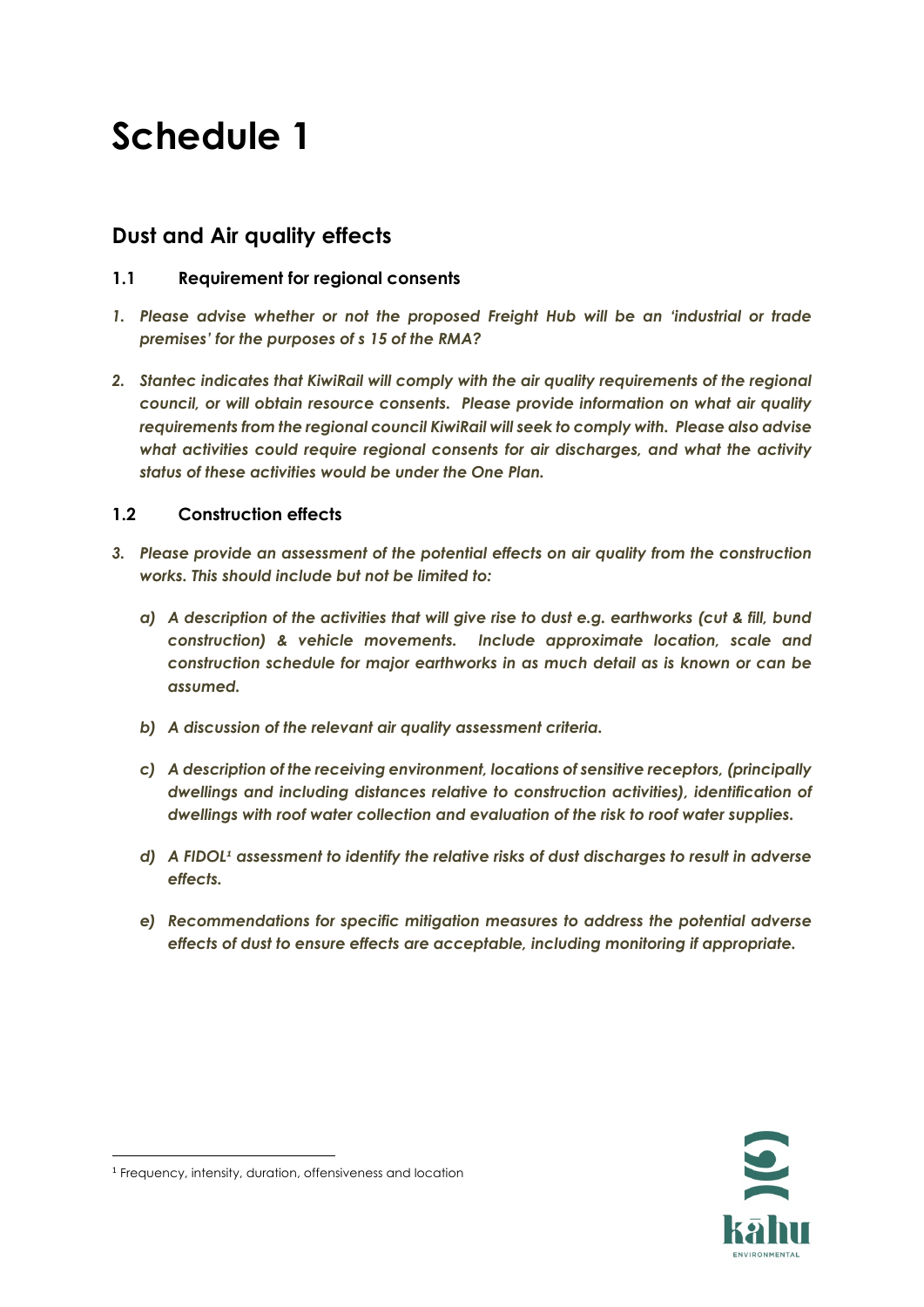# **Schedule 1**

## **Dust and Air quality effects**

### **1.1 Requirement for regional consents**

- *1. Please advise whether or not the proposed Freight Hub will be an 'industrial or trade premises' for the purposes of s 15 of the RMA?*
- *2. Stantec indicates that KiwiRail will comply with the air quality requirements of the regional council, or will obtain resource consents. Please provide information on what air quality requirements from the regional council KiwiRail will seek to comply with. Please also advise what activities could require regional consents for air discharges, and what the activity status of these activities would be under the One Plan.*

#### **1.2 Construction effects**

- *3. Please provide an assessment of the potential effects on air quality from the construction works. This should include but not be limited to:*
	- *a) A description of the activities that will give rise to dust e.g. earthworks (cut & fill, bund construction) & vehicle movements. Include approximate location, scale and construction schedule for major earthworks in as much detail as is known or can be assumed.*
	- *b) A discussion of the relevant air quality assessment criteria.*
	- *c) A description of the receiving environment, locations of sensitive receptors, (principally dwellings and including distances relative to construction activities), identification of dwellings with roof water collection and evaluation of the risk to roof water supplies.*
	- *d) A FIDOL<sup>1</sup> assessment to identify the relative risks of dust discharges to result in adverse effects.*
	- *e) Recommendations for specific mitigation measures to address the potential adverse effects of dust to ensure effects are acceptable, including monitoring if appropriate.*



<sup>1</sup> Frequency, intensity, duration, offensiveness and location